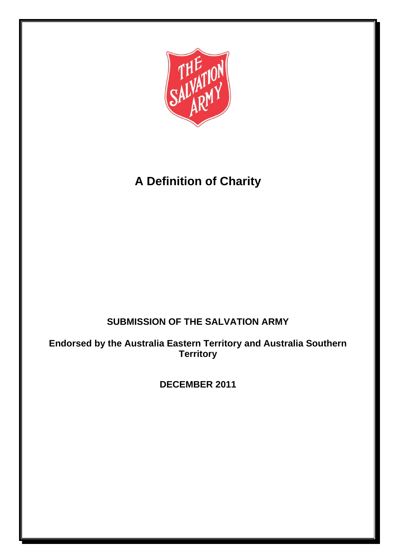

# **A Definition of Charity**

# **SUBMISSION OF THE SALVATION ARMY**

**Endorsed by the Australia Eastern Territory and Australia Southern Territory**

**DECEMBER 2011**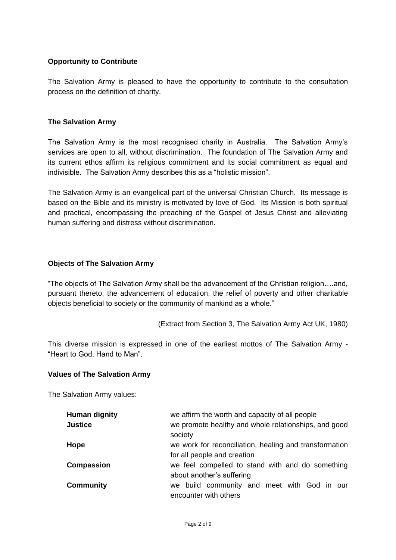#### **Opportunity to Contribute**

The Salvation Army is pleased to have the opportunity to contribute to the consultation process on the definition of charity.

#### **The Salvation Army**

The Salvation Army is the most recognised charity in Australia. The Salvation Army's services are open to all, without discrimination. The foundation of The Salvation Army and its current ethos affirm its religious commitment and its social commitment as equal and indivisible. The Salvation Army describes this as a "holistic mission".

The Salvation Army is an evangelical part of the universal Christian Church. Its message is based on the Bible and its ministry is motivated by love of God. Its Mission is both spiritual and practical, encompassing the preaching of the Gospel of Jesus Christ and alleviating human suffering and distress without discrimination.

#### **Objects of The Salvation Army**

"The objects of The Salvation Army shall be the advancement of the Christian religion….and, pursuant thereto, the advancement of education, the relief of poverty and other charitable objects beneficial to society or the community of mankind as a whole."

(Extract from Section 3, The Salvation Army Act UK, 1980)

This diverse mission is expressed in one of the earliest mottos of The Salvation Army - "Heart to God, Hand to Man".

#### **Values of The Salvation Army**

The Salvation Army values:

| Human dignity<br><b>Justice</b> | we affirm the worth and capacity of all people<br>we promote healthy and whole relationships, and good<br>society |
|---------------------------------|-------------------------------------------------------------------------------------------------------------------|
| Hope                            | we work for reconciliation, healing and transformation<br>for all people and creation                             |
| Compassion                      | we feel compelled to stand with and do something<br>about another's suffering                                     |
| <b>Community</b>                | we build community and meet with God in our<br>encounter with others                                              |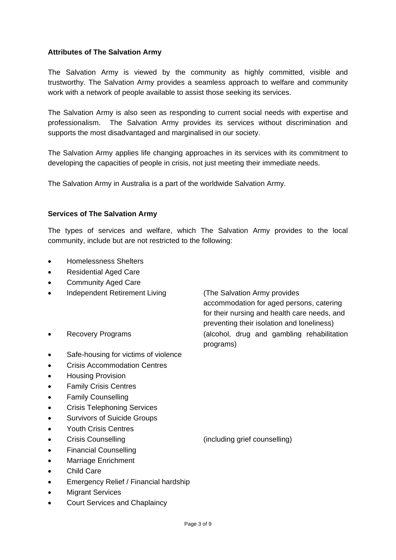#### **Attributes of The Salvation Army**

The Salvation Army is viewed by the community as highly committed, visible and trustworthy. The Salvation Army provides a seamless approach to welfare and community work with a network of people available to assist those seeking its services.

The Salvation Army is also seen as responding to current social needs with expertise and professionalism. The Salvation Army provides its services without discrimination and supports the most disadvantaged and marginalised in our society.

The Salvation Army applies life changing approaches in its services with its commitment to developing the capacities of people in crisis, not just meeting their immediate needs.

The Salvation Army in Australia is a part of the worldwide Salvation Army.

#### **Services of The Salvation Army**

The types of services and welfare, which The Salvation Army provides to the local community, include but are not restricted to the following:

programs)

accommodation for aged persons, catering for their nursing and health care needs, and preventing their isolation and loneliness)

- Homelessness Shelters
- Residential Aged Care
- Community Aged Care
- Independent Retirement Living (The Salvation Army provides
- Recovery Programs (alcohol, drug and gambling rehabilitation
- Safe-housing for victims of violence
- Crisis Accommodation Centres
- Housing Provision
- Family Crisis Centres
- Family Counselling
- Crisis Telephoning Services
- Survivors of Suicide Groups
- Youth Crisis Centres
- Crisis Counselling (including grief counselling)
- Financial Counselling
- Marriage Enrichment
- Child Care
- Emergency Relief / Financial hardship
- **Migrant Services**
- Court Services and Chaplaincy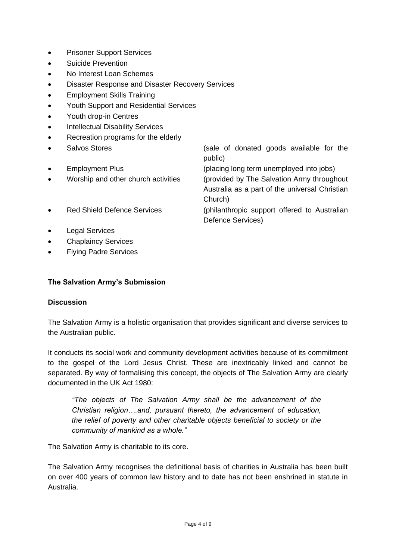- Prisoner Support Services
- Suicide Prevention
- No Interest Loan Schemes
- Disaster Response and Disaster Recovery Services
- Employment Skills Training
- Youth Support and Residential Services
- Youth drop-in Centres
- Intellectual Disability Services
- Recreation programs for the elderly
- - Salvos Stores **Salvos** Stores **Salvos** Stores **COLOGISTS** (sale of donated goods available for the public)

Employment Plus (placing long term unemployed into jobs)

Defence Services)

 Worship and other church activities (provided by The Salvation Army throughout Australia as a part of the universal Christian Church)

- Red Shield Defence Services (philanthropic support offered to Australian
- Legal Services
- Chaplaincy Services
- Flying Padre Services

#### **The Salvation Army's Submission**

#### **Discussion**

The Salvation Army is a holistic organisation that provides significant and diverse services to the Australian public.

It conducts its social work and community development activities because of its commitment to the gospel of the Lord Jesus Christ. These are inextricably linked and cannot be separated. By way of formalising this concept, the objects of The Salvation Army are clearly documented in the UK Act 1980:

*"The objects of The Salvation Army shall be the advancement of the Christian religion….and, pursuant thereto, the advancement of education, the relief of poverty and other charitable objects beneficial to society or the community of mankind as a whole."* 

The Salvation Army is charitable to its core.

The Salvation Army recognises the definitional basis of charities in Australia has been built on over 400 years of common law history and to date has not been enshrined in statute in Australia.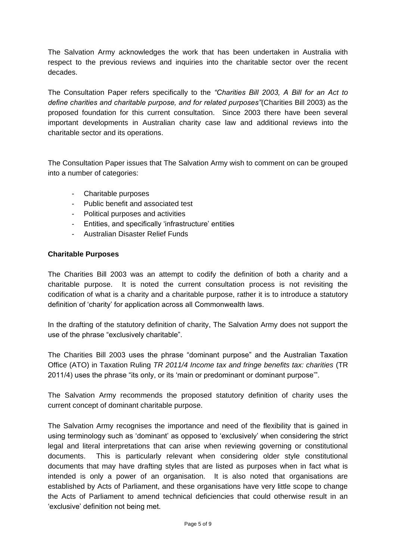The Salvation Army acknowledges the work that has been undertaken in Australia with respect to the previous reviews and inquiries into the charitable sector over the recent decades.

The Consultation Paper refers specifically to the *"Charities Bill 2003, A Bill for an Act to define charities and charitable purpose, and for related purposes"*(Charities Bill 2003) as the proposed foundation for this current consultation. Since 2003 there have been several important developments in Australian charity case law and additional reviews into the charitable sector and its operations.

The Consultation Paper issues that The Salvation Army wish to comment on can be grouped into a number of categories:

- Charitable purposes
- Public benefit and associated test
- Political purposes and activities
- Entities, and specifically 'infrastructure' entities
- Australian Disaster Relief Funds

#### **Charitable Purposes**

The Charities Bill 2003 was an attempt to codify the definition of both a charity and a charitable purpose. It is noted the current consultation process is not revisiting the codification of what is a charity and a charitable purpose, rather it is to introduce a statutory definition of 'charity' for application across all Commonwealth laws.

In the drafting of the statutory definition of charity, The Salvation Army does not support the use of the phrase "exclusively charitable".

The Charities Bill 2003 uses the phrase "dominant purpose" and the Australian Taxation Office (ATO) in Taxation Ruling *TR 2011/4 Income tax and fringe benefits tax: charities* (TR 2011/4) uses the phrase "its only, or its 'main or predominant or dominant purpose'".

The Salvation Army recommends the proposed statutory definition of charity uses the current concept of dominant charitable purpose.

The Salvation Army recognises the importance and need of the flexibility that is gained in using terminology such as 'dominant' as opposed to 'exclusively' when considering the strict legal and literal interpretations that can arise when reviewing governing or constitutional documents. This is particularly relevant when considering older style constitutional documents that may have drafting styles that are listed as purposes when in fact what is intended is only a power of an organisation. It is also noted that organisations are established by Acts of Parliament, and these organisations have very little scope to change the Acts of Parliament to amend technical deficiencies that could otherwise result in an 'exclusive' definition not being met.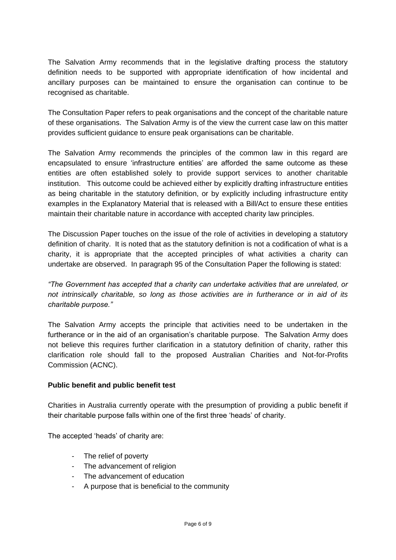The Salvation Army recommends that in the legislative drafting process the statutory definition needs to be supported with appropriate identification of how incidental and ancillary purposes can be maintained to ensure the organisation can continue to be recognised as charitable.

The Consultation Paper refers to peak organisations and the concept of the charitable nature of these organisations. The Salvation Army is of the view the current case law on this matter provides sufficient guidance to ensure peak organisations can be charitable.

The Salvation Army recommends the principles of the common law in this regard are encapsulated to ensure 'infrastructure entities' are afforded the same outcome as these entities are often established solely to provide support services to another charitable institution. This outcome could be achieved either by explicitly drafting infrastructure entities as being charitable in the statutory definition, or by explicitly including infrastructure entity examples in the Explanatory Material that is released with a Bill/Act to ensure these entities maintain their charitable nature in accordance with accepted charity law principles.

The Discussion Paper touches on the issue of the role of activities in developing a statutory definition of charity. It is noted that as the statutory definition is not a codification of what is a charity, it is appropriate that the accepted principles of what activities a charity can undertake are observed. In paragraph 95 of the Consultation Paper the following is stated:

*"The Government has accepted that a charity can undertake activities that are unrelated, or not intrinsically charitable, so long as those activities are in furtherance or in aid of its charitable purpose."*

The Salvation Army accepts the principle that activities need to be undertaken in the furtherance or in the aid of an organisation's charitable purpose. The Salvation Army does not believe this requires further clarification in a statutory definition of charity, rather this clarification role should fall to the proposed Australian Charities and Not-for-Profits Commission (ACNC).

# **Public benefit and public benefit test**

Charities in Australia currently operate with the presumption of providing a public benefit if their charitable purpose falls within one of the first three 'heads' of charity.

The accepted 'heads' of charity are:

- The relief of poverty
- The advancement of religion
- The advancement of education
- A purpose that is beneficial to the community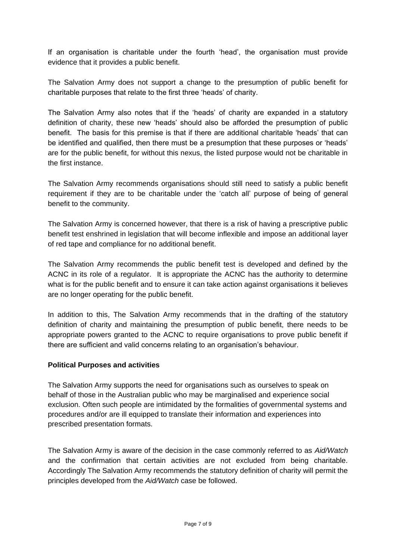If an organisation is charitable under the fourth 'head', the organisation must provide evidence that it provides a public benefit.

The Salvation Army does not support a change to the presumption of public benefit for charitable purposes that relate to the first three 'heads' of charity.

The Salvation Army also notes that if the 'heads' of charity are expanded in a statutory definition of charity, these new 'heads' should also be afforded the presumption of public benefit. The basis for this premise is that if there are additional charitable 'heads' that can be identified and qualified, then there must be a presumption that these purposes or 'heads' are for the public benefit, for without this nexus, the listed purpose would not be charitable in the first instance.

The Salvation Army recommends organisations should still need to satisfy a public benefit requirement if they are to be charitable under the 'catch all' purpose of being of general benefit to the community.

The Salvation Army is concerned however, that there is a risk of having a prescriptive public benefit test enshrined in legislation that will become inflexible and impose an additional layer of red tape and compliance for no additional benefit.

The Salvation Army recommends the public benefit test is developed and defined by the ACNC in its role of a regulator. It is appropriate the ACNC has the authority to determine what is for the public benefit and to ensure it can take action against organisations it believes are no longer operating for the public benefit.

In addition to this, The Salvation Army recommends that in the drafting of the statutory definition of charity and maintaining the presumption of public benefit, there needs to be appropriate powers granted to the ACNC to require organisations to prove public benefit if there are sufficient and valid concerns relating to an organisation's behaviour.

# **Political Purposes and activities**

The Salvation Army supports the need for organisations such as ourselves to speak on behalf of those in the Australian public who may be marginalised and experience social exclusion. Often such people are intimidated by the formalities of governmental systems and procedures and/or are ill equipped to translate their information and experiences into prescribed presentation formats.

The Salvation Army is aware of the decision in the case commonly referred to as *Aid/Watch* and the confirmation that certain activities are not excluded from being charitable. Accordingly The Salvation Army recommends the statutory definition of charity will permit the principles developed from the *Aid/Watch* case be followed.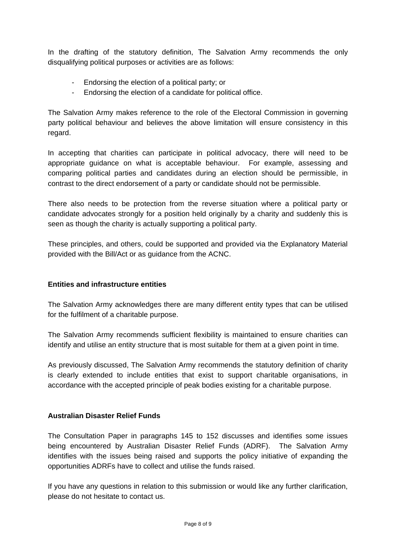In the drafting of the statutory definition, The Salvation Army recommends the only disqualifying political purposes or activities are as follows:

- Endorsing the election of a political party; or
- Endorsing the election of a candidate for political office.

The Salvation Army makes reference to the role of the Electoral Commission in governing party political behaviour and believes the above limitation will ensure consistency in this regard.

In accepting that charities can participate in political advocacy, there will need to be appropriate guidance on what is acceptable behaviour. For example, assessing and comparing political parties and candidates during an election should be permissible, in contrast to the direct endorsement of a party or candidate should not be permissible.

There also needs to be protection from the reverse situation where a political party or candidate advocates strongly for a position held originally by a charity and suddenly this is seen as though the charity is actually supporting a political party.

These principles, and others, could be supported and provided via the Explanatory Material provided with the Bill/Act or as guidance from the ACNC.

# **Entities and infrastructure entities**

The Salvation Army acknowledges there are many different entity types that can be utilised for the fulfilment of a charitable purpose.

The Salvation Army recommends sufficient flexibility is maintained to ensure charities can identify and utilise an entity structure that is most suitable for them at a given point in time.

As previously discussed, The Salvation Army recommends the statutory definition of charity is clearly extended to include entities that exist to support charitable organisations, in accordance with the accepted principle of peak bodies existing for a charitable purpose.

# **Australian Disaster Relief Funds**

The Consultation Paper in paragraphs 145 to 152 discusses and identifies some issues being encountered by Australian Disaster Relief Funds (ADRF). The Salvation Army identifies with the issues being raised and supports the policy initiative of expanding the opportunities ADRFs have to collect and utilise the funds raised.

If you have any questions in relation to this submission or would like any further clarification, please do not hesitate to contact us.